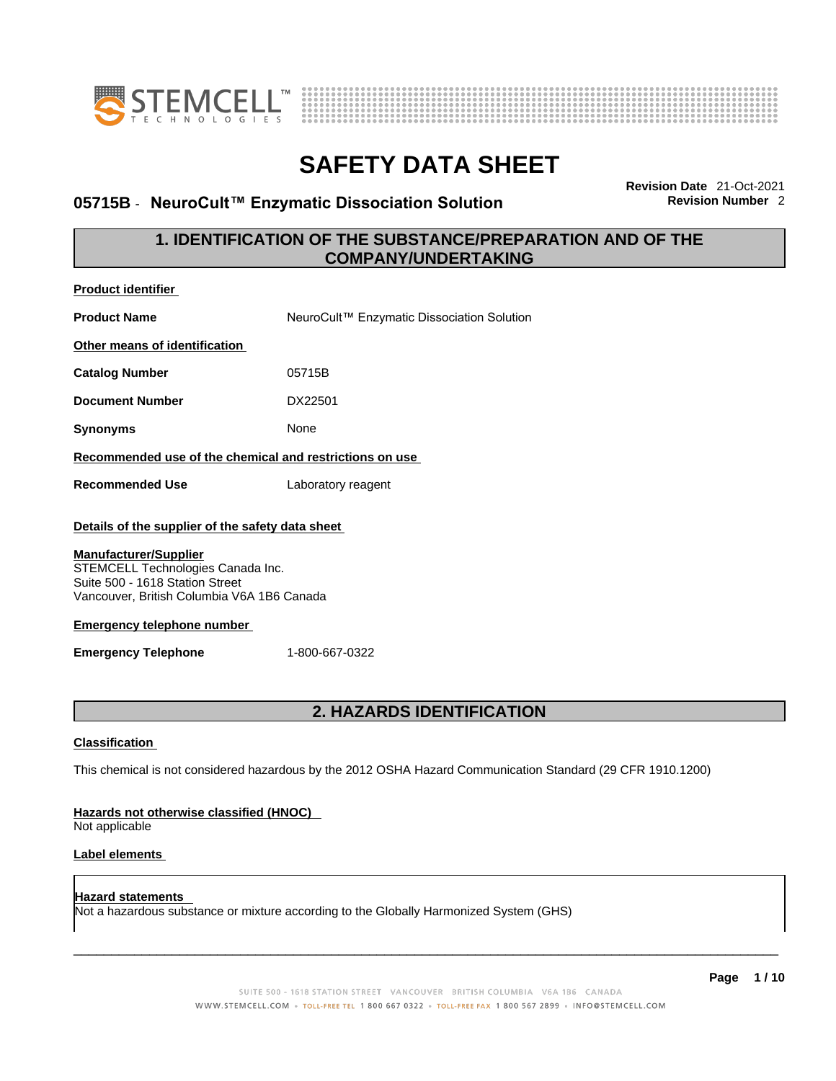



### **05715B ⋅ NeuroCult™ Enzymatic Dissociation Solution**

**Revision Date** 21-Oct-2021

### **1. IDENTIFICATION OF THE SUBSTANCE/PREPARATION AND OF THE COMPANY/UNDERTAKING**

| <b>Product identifier</b>                                                                                                                                                                                                                                                                   |                                                                                                             |  |
|---------------------------------------------------------------------------------------------------------------------------------------------------------------------------------------------------------------------------------------------------------------------------------------------|-------------------------------------------------------------------------------------------------------------|--|
| <b>Product Name</b>                                                                                                                                                                                                                                                                         | NeuroCult™ Enzymatic Dissociation Solution                                                                  |  |
| Other means of identification                                                                                                                                                                                                                                                               |                                                                                                             |  |
| <b>Catalog Number</b>                                                                                                                                                                                                                                                                       | 05715B                                                                                                      |  |
| <b>Document Number</b>                                                                                                                                                                                                                                                                      | DX22501                                                                                                     |  |
| <b>Synonyms</b>                                                                                                                                                                                                                                                                             | None                                                                                                        |  |
| Recommended use of the chemical and restrictions on use                                                                                                                                                                                                                                     |                                                                                                             |  |
| <b>Recommended Use</b>                                                                                                                                                                                                                                                                      | Laboratory reagent                                                                                          |  |
| Details of the supplier of the safety data sheet<br><b>Manufacturer/Supplier</b><br>STEMCELL Technologies Canada Inc.<br>Suite 500 - 1618 Station Street<br>Vancouver, British Columbia V6A 1B6 Canada<br><b>Emergency telephone number</b><br><b>Emergency Telephone</b><br>1-800-667-0322 |                                                                                                             |  |
| 2. HAZARDS IDENTIFICATION                                                                                                                                                                                                                                                                   |                                                                                                             |  |
| <b>Classification</b>                                                                                                                                                                                                                                                                       |                                                                                                             |  |
|                                                                                                                                                                                                                                                                                             | This chemical is not considered hazardous by the 2012 OSHA Hazard Communication Standard (29 CFR 1910.1200) |  |
| <b>Hazards not otherwise classified (HNOC)</b><br>Not applicable                                                                                                                                                                                                                            |                                                                                                             |  |
| Label elements                                                                                                                                                                                                                                                                              |                                                                                                             |  |
|                                                                                                                                                                                                                                                                                             |                                                                                                             |  |

**Hazard statements**  Not a hazardous substance or mixture according to the Globally Harmonized System (GHS)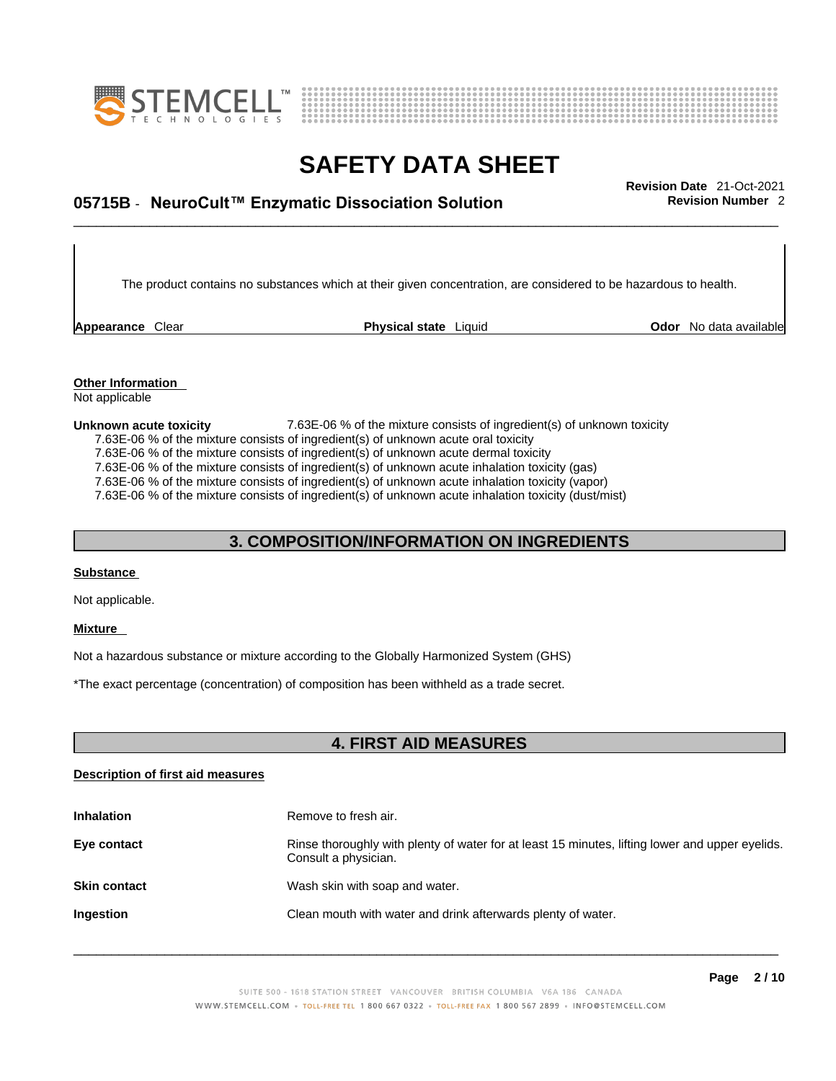



# \_\_\_\_\_\_\_\_\_\_\_\_\_\_\_\_\_\_\_\_\_\_\_\_\_\_\_\_\_\_\_\_\_\_\_\_\_\_\_\_\_\_\_\_\_\_\_\_\_\_\_\_\_\_\_\_\_\_\_\_\_\_\_\_\_\_\_\_\_\_\_\_\_\_\_\_\_\_\_\_\_\_\_\_\_\_\_\_\_\_\_\_\_ **Revision Date** 21-Oct-2021 **05715B** - **NeuroCult™ Enzymatic Dissociation Solution Revision Number** 2

The product contains no substances which at their given concentration, are considered to be hazardous to health.

**Appearance** Clear **Physical state** Liquid

**Odor** No data available

**Other Information**  Not applicable

**Unknown acute toxicity** 7.63E-06 % of the mixtureconsists of ingredient(s) of unknown toxicity

7.63E-06 % of the mixture consists of ingredient(s) of unknown acute oral toxicity

7.63E-06 % of the mixture consists of ingredient(s) of unknown acute dermal toxicity

7.63E-06  $%$  of the mixture consists of ingredient(s) of unknown acute inhalation toxicity (gas)

7.63E-06 % of the mixture consists of ingredient(s) of unknown acute inhalation toxicity (vapor)

7.63E-06 % of the mixture consists of ingredient(s) of unknown acute inhalation toxicity (dust/mist)

### **3. COMPOSITION/INFORMATION ON INGREDIENTS**

#### **Substance**

Not applicable.

#### **Mixture**

Not a hazardous substance or mixture according to the Globally Harmonized System (GHS)

\*The exact percentage (concentration) of composition has been withheld as a trade secret.

### **4. FIRST AID MEASURES**

#### **Description of first aid measures**

| <b>Inhalation</b>   | Remove to fresh air.                                                                                                    |
|---------------------|-------------------------------------------------------------------------------------------------------------------------|
| Eye contact         | Rinse thoroughly with plenty of water for at least 15 minutes, lifting lower and upper eyelids.<br>Consult a physician. |
| <b>Skin contact</b> | Wash skin with soap and water.                                                                                          |
| Ingestion           | Clean mouth with water and drink afterwards plenty of water.                                                            |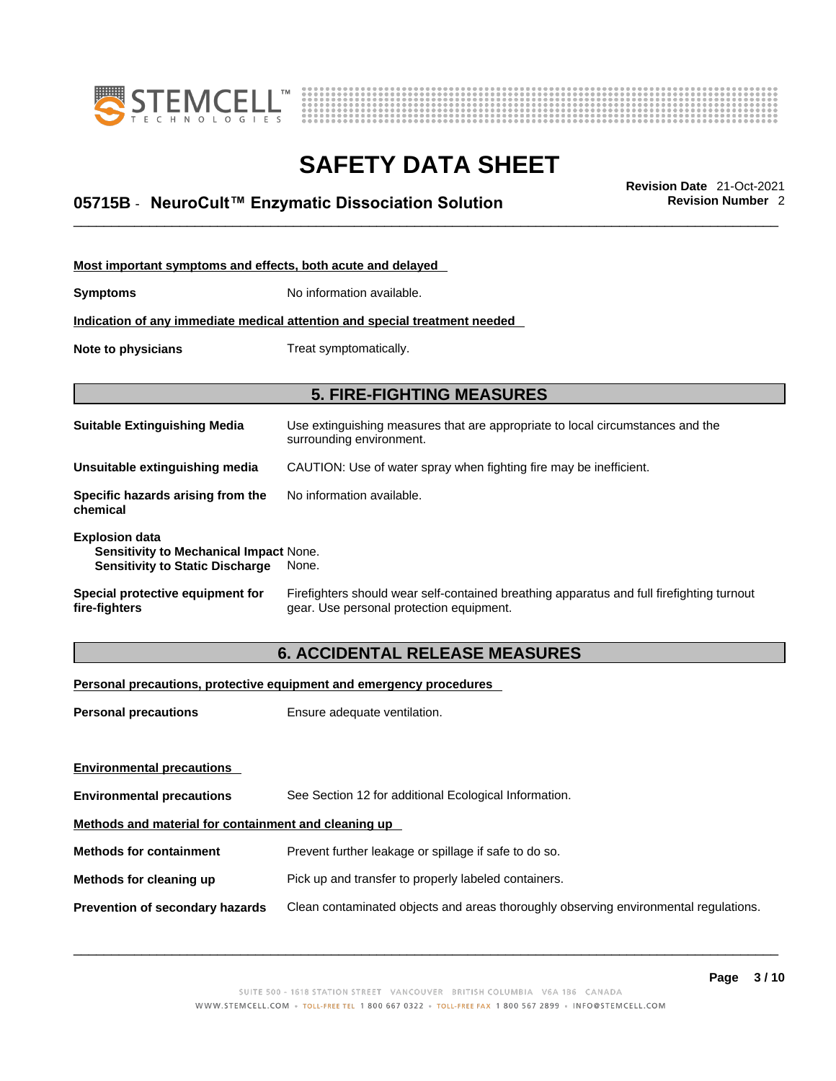



# \_\_\_\_\_\_\_\_\_\_\_\_\_\_\_\_\_\_\_\_\_\_\_\_\_\_\_\_\_\_\_\_\_\_\_\_\_\_\_\_\_\_\_\_\_\_\_\_\_\_\_\_\_\_\_\_\_\_\_\_\_\_\_\_\_\_\_\_\_\_\_\_\_\_\_\_\_\_\_\_\_\_\_\_\_\_\_\_\_\_\_\_\_ **Revision Date** 21-Oct-2021 **05715B** - **NeuroCult™ Enzymatic Dissociation Solution Revision Number** 2

| Most important symptoms and effects, both acute and delayed                                                      |                                                                                                                                       |  |
|------------------------------------------------------------------------------------------------------------------|---------------------------------------------------------------------------------------------------------------------------------------|--|
| <b>Symptoms</b>                                                                                                  | No information available.                                                                                                             |  |
| Indication of any immediate medical attention and special treatment needed                                       |                                                                                                                                       |  |
| Note to physicians                                                                                               | Treat symptomatically.                                                                                                                |  |
|                                                                                                                  |                                                                                                                                       |  |
|                                                                                                                  | <b>5. FIRE-FIGHTING MEASURES</b>                                                                                                      |  |
| <b>Suitable Extinguishing Media</b>                                                                              | Use extinguishing measures that are appropriate to local circumstances and the<br>surrounding environment.                            |  |
| Unsuitable extinguishing media                                                                                   | CAUTION: Use of water spray when fighting fire may be inefficient.                                                                    |  |
| Specific hazards arising from the<br>chemical                                                                    | No information available.                                                                                                             |  |
| <b>Explosion data</b><br><b>Sensitivity to Mechanical Impact None.</b><br><b>Sensitivity to Static Discharge</b> | None.                                                                                                                                 |  |
| Special protective equipment for<br>fire-fighters                                                                | Firefighters should wear self-contained breathing apparatus and full firefighting turnout<br>gear. Use personal protection equipment. |  |

#### **6. ACCIDENTAL RELEASE MEASURES**

#### **Personal precautions, protective equipment and emergency procedures**

| Ensure adequate ventilation.                                                         |  |  |
|--------------------------------------------------------------------------------------|--|--|
|                                                                                      |  |  |
|                                                                                      |  |  |
| See Section 12 for additional Ecological Information.                                |  |  |
| Methods and material for containment and cleaning up                                 |  |  |
| Prevent further leakage or spillage if safe to do so.                                |  |  |
| Pick up and transfer to properly labeled containers.                                 |  |  |
| Clean contaminated objects and areas thoroughly observing environmental regulations. |  |  |
|                                                                                      |  |  |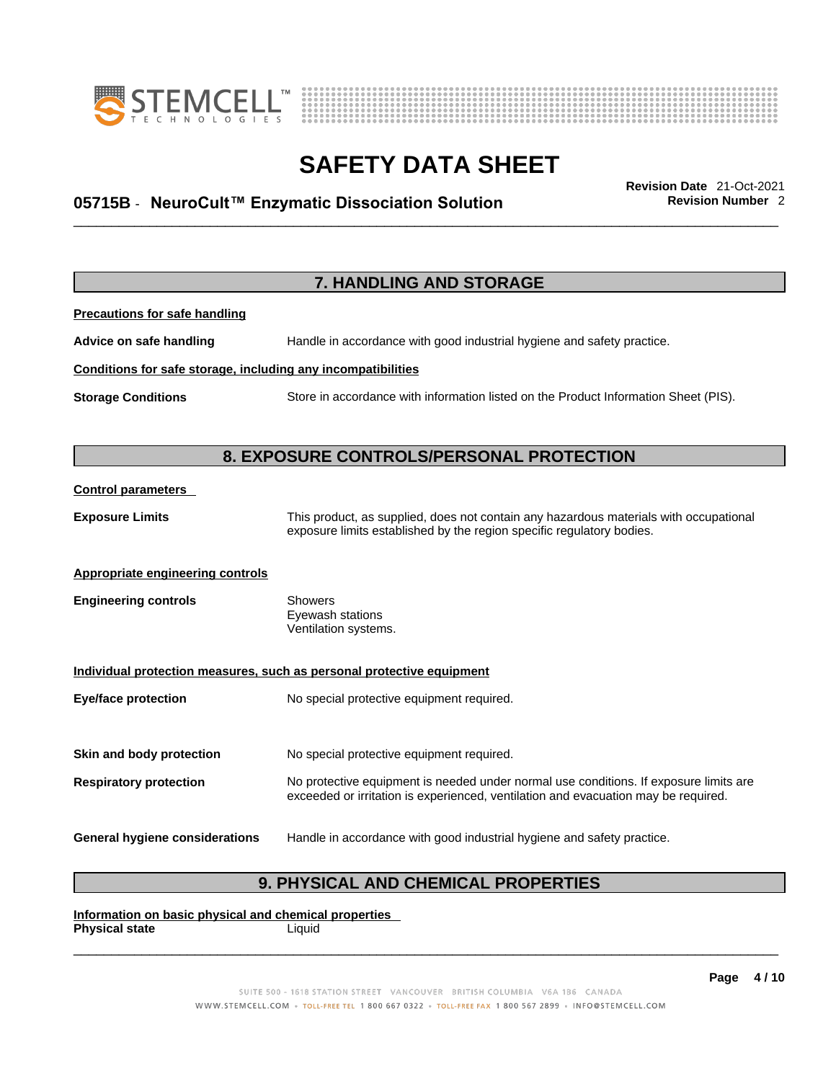



# \_\_\_\_\_\_\_\_\_\_\_\_\_\_\_\_\_\_\_\_\_\_\_\_\_\_\_\_\_\_\_\_\_\_\_\_\_\_\_\_\_\_\_\_\_\_\_\_\_\_\_\_\_\_\_\_\_\_\_\_\_\_\_\_\_\_\_\_\_\_\_\_\_\_\_\_\_\_\_\_\_\_\_\_\_\_\_\_\_\_\_\_\_ **Revision Date** 21-Oct-2021 **05715B** - **NeuroCult™ Enzymatic Dissociation Solution Revision Number** 2

|                                                              | 7. HANDLING AND STORAGE                                                                                                                                                     |
|--------------------------------------------------------------|-----------------------------------------------------------------------------------------------------------------------------------------------------------------------------|
| <b>Precautions for safe handling</b>                         |                                                                                                                                                                             |
| Advice on safe handling                                      | Handle in accordance with good industrial hygiene and safety practice.                                                                                                      |
| Conditions for safe storage, including any incompatibilities |                                                                                                                                                                             |
| <b>Storage Conditions</b>                                    | Store in accordance with information listed on the Product Information Sheet (PIS).                                                                                         |
|                                                              | 8. EXPOSURE CONTROLS/PERSONAL PROTECTION                                                                                                                                    |
| <b>Control parameters</b>                                    |                                                                                                                                                                             |
| <b>Exposure Limits</b>                                       | This product, as supplied, does not contain any hazardous materials with occupational<br>exposure limits established by the region specific regulatory bodies.              |
| <b>Appropriate engineering controls</b>                      |                                                                                                                                                                             |
| <b>Engineering controls</b>                                  | Showers<br>Eyewash stations<br>Ventilation systems.                                                                                                                         |
|                                                              | Individual protection measures, such as personal protective equipment                                                                                                       |
| <b>Eye/face protection</b>                                   | No special protective equipment required.                                                                                                                                   |
| Skin and body protection                                     | No special protective equipment required.                                                                                                                                   |
| <b>Respiratory protection</b>                                | No protective equipment is needed under normal use conditions. If exposure limits are<br>exceeded or irritation is experienced, ventilation and evacuation may be required. |
| <b>General hygiene considerations</b>                        | Handle in accordance with good industrial hygiene and safety practice.                                                                                                      |

### **9. PHYSICAL AND CHEMICAL PROPERTIES**

**Information on basic physical and chemical properties Physical state** Liquid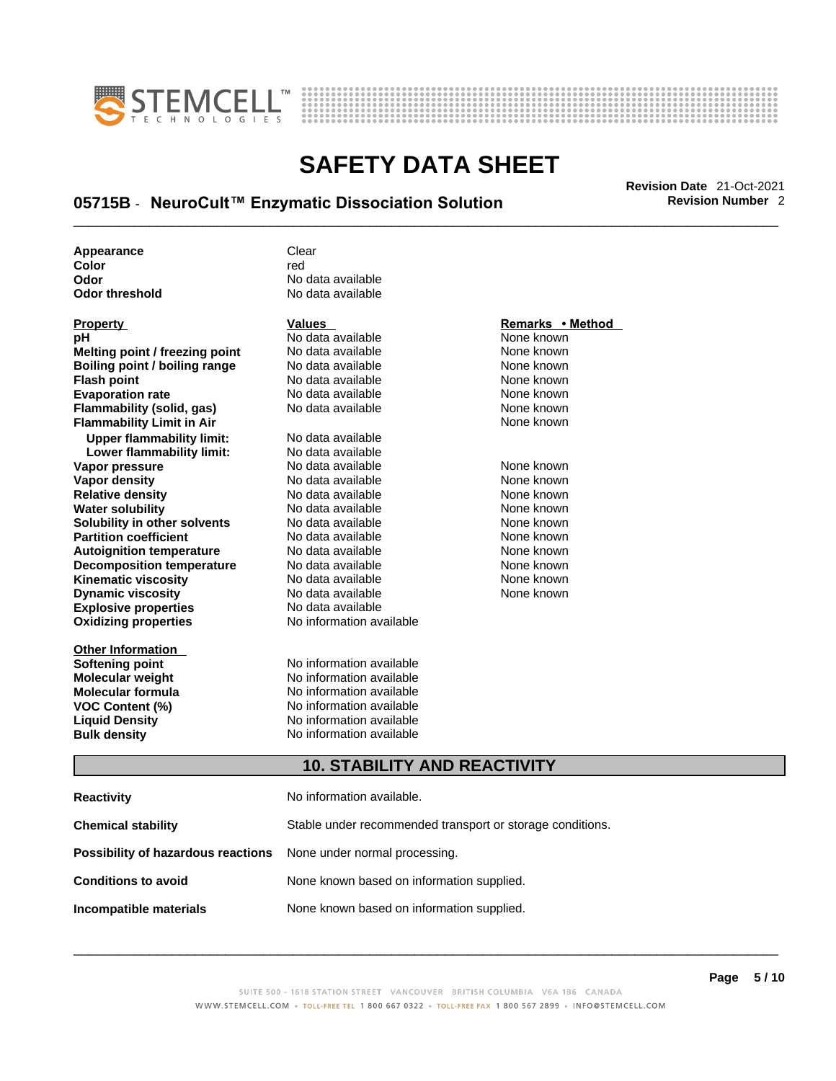



# \_\_\_\_\_\_\_\_\_\_\_\_\_\_\_\_\_\_\_\_\_\_\_\_\_\_\_\_\_\_\_\_\_\_\_\_\_\_\_\_\_\_\_\_\_\_\_\_\_\_\_\_\_\_\_\_\_\_\_\_\_\_\_\_\_\_\_\_\_\_\_\_\_\_\_\_\_\_\_\_\_\_\_\_\_\_\_\_\_\_\_\_\_ **Revision Date** 21-Oct-2021 **05715B** - **NeuroCult™ Enzymatic Dissociation Solution Revision Number** 2

**Appearance** Clear<br> **Color Color** red **Odor No data available**<br> **Odor threshold No data available** 

**Explosive properties**<br> **Oxidizing properties**<br> **Oxidizing properties**<br> **No information available Oxidizing properties Property CONSCRUTE ACCORDING METHOD Values <b>CONSCRUTE ACCORDING METHOD METHOD METHOD VALUES Property Remarks** • **Method pH** No data available None known **Melting point / freezing point** No data available None known<br> **Rojling point / bojling range** No data available None Known None known **Boiling point / boiling range** No data available **None known**<br>
No data available **None known**<br>
No data available **None known Evaporation rate Cone Cone Access Mone Cone Cone Cone Access Provident Cone Cone Access Provident Cone known<br>
<b>Flammability (solid. gas)** No data available Cone Cone Known **Flammability (solid, gas)** No data available None known **Flammability Limit in Air None known None known Upper flammability limit:** No data available **Lower flammability limit:** No data available **Vapor pressure** 1980 in the Modata available 1980 in the Known None known<br> **Vapor density** 1980 in the None Known None known None known **Vapor density** No data available None known **Relative density Water solubility** No data available None known **Solubility in other solvents** No data available None known **Partition coefficient**<br> **Autoignition temperature**<br>
No data available None None known<br>
None known **Autoignition temperature** Mo data available Mone known<br> **Decomposition temperature** No data available None known **Decomposition temperature** No data available<br> **Kinematic viscosity** No data available **Kinematic viscosity No data available None known**<br> **Discussible No data available None known**<br>
None known **Dynamic viscosity No data available None known** 

**Other Information** 

No data available

**No data available** 

**Softening point**<br> **Molecular weight**<br> **Molecular weight**<br> **Molecular weight**<br> **Molecular weight No information available Molecular formula** No information available **VOC Content (%)**<br> **Content (%)**<br>
No information available<br>
No information available **No information available Bulk density No information available** 

#### **10. STABILITY AND REACTIVITY**

| Reactivity                                                              | No information available.                                 |
|-------------------------------------------------------------------------|-----------------------------------------------------------|
| Chemical stability                                                      | Stable under recommended transport or storage conditions. |
| <b>Possibility of hazardous reactions</b> None under normal processing. |                                                           |
| <b>Conditions to avoid</b>                                              | None known based on information supplied.                 |
| Incompatible materials                                                  | None known based on information supplied.                 |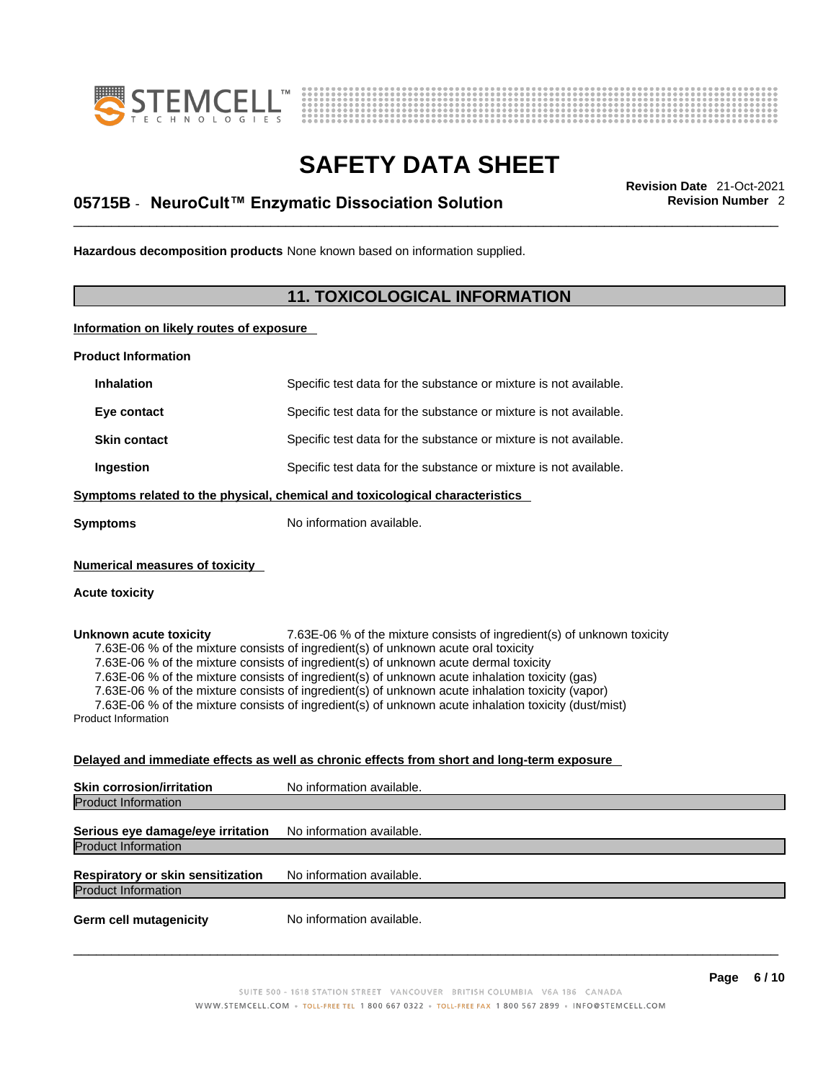



# \_\_\_\_\_\_\_\_\_\_\_\_\_\_\_\_\_\_\_\_\_\_\_\_\_\_\_\_\_\_\_\_\_\_\_\_\_\_\_\_\_\_\_\_\_\_\_\_\_\_\_\_\_\_\_\_\_\_\_\_\_\_\_\_\_\_\_\_\_\_\_\_\_\_\_\_\_\_\_\_\_\_\_\_\_\_\_\_\_\_\_\_\_ **Revision Date** 21-Oct-2021 **05715B** - **NeuroCult™ Enzymatic Dissociation Solution Revision Number** 2

**Hazardous decomposition products** None known based on information supplied.

### **11. TOXICOLOGICAL INFORMATION**

**Information on likely routes of exposure**

**Product Information**

| <b>Inhalation</b>                                                            | Specific test data for the substance or mixture is not available. |  |
|------------------------------------------------------------------------------|-------------------------------------------------------------------|--|
| Eye contact                                                                  | Specific test data for the substance or mixture is not available. |  |
| <b>Skin contact</b>                                                          | Specific test data for the substance or mixture is not available. |  |
| Ingestion                                                                    | Specific test data for the substance or mixture is not available. |  |
| Symptoms related to the physical, chemical and toxicological characteristics |                                                                   |  |
| No information available.<br>Symptoms                                        |                                                                   |  |
| <b>Numerical measures of toxicity</b><br>Acute toxicity                      |                                                                   |  |

**Unknown acute toxicity** 7.63E-06 % of the mixtureconsists of ingredient(s) of unknown toxicity 7.63E-06 % of the mixture consists of ingredient(s) of unknown acute oral toxicity 7.63E-06 % of the mixture consists of ingredient(s) of unknown acute dermal toxicity 7.63E-06 % of the mixture consists of ingredient(s) of unknown acute inhalation toxicity (gas) 7.63E-06 % of the mixture consists of ingredient(s) of unknown acute inhalation toxicity (vapor) 7.63E-06 % of the mixture consists of ingredient(s) of unknown acute inhalation toxicity (dust/mist) Product Information

#### **Delayed and immediate effects as well as chronic effects from short and long-term exposure**

| <b>Skin corrosion/irritation</b>                                | No information available. |
|-----------------------------------------------------------------|---------------------------|
| <b>Product Information</b>                                      |                           |
| Serious eye damage/eye irritation<br><b>Product Information</b> | No information available. |
| Respiratory or skin sensitization<br><b>Product Information</b> | No information available. |
| <b>Germ cell mutagenicity</b>                                   | No information available. |
|                                                                 |                           |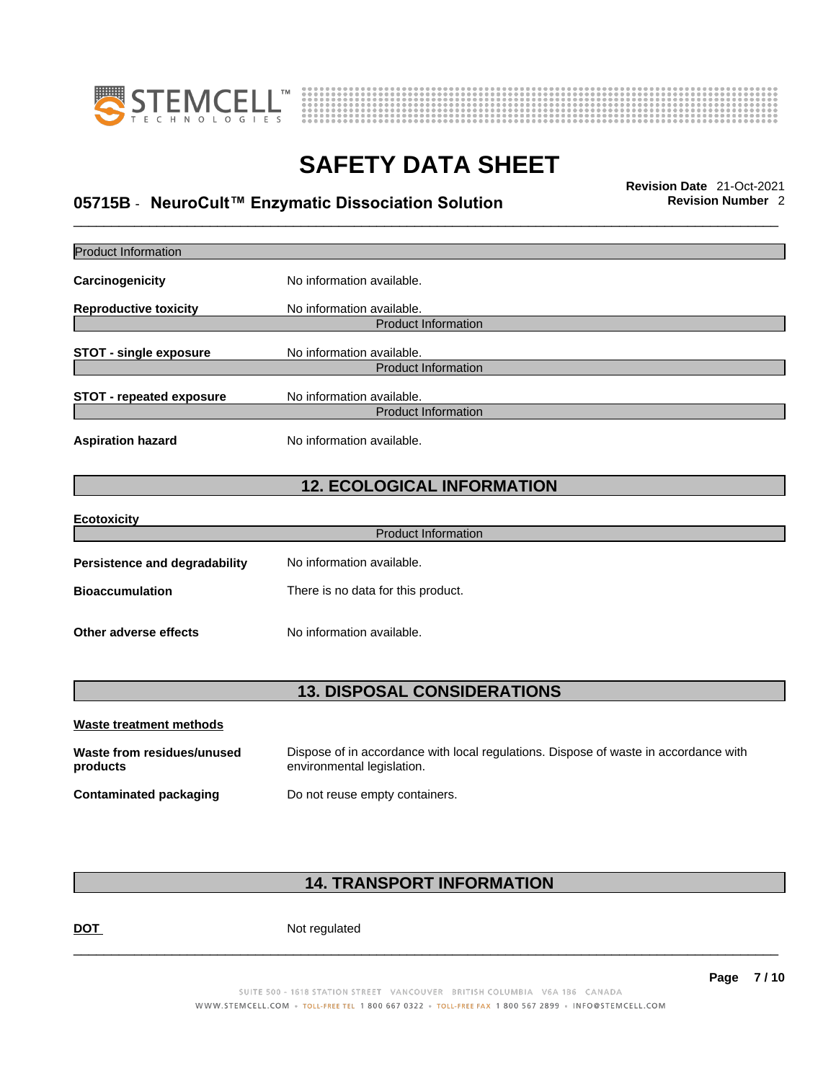



# \_\_\_\_\_\_\_\_\_\_\_\_\_\_\_\_\_\_\_\_\_\_\_\_\_\_\_\_\_\_\_\_\_\_\_\_\_\_\_\_\_\_\_\_\_\_\_\_\_\_\_\_\_\_\_\_\_\_\_\_\_\_\_\_\_\_\_\_\_\_\_\_\_\_\_\_\_\_\_\_\_\_\_\_\_\_\_\_\_\_\_\_\_ **Revision Date** 21-Oct-2021 **05715B** - **NeuroCult™ Enzymatic Dissociation Solution Revision Number** 2

| <b>Product Information</b>             |                                                                                                                    |
|----------------------------------------|--------------------------------------------------------------------------------------------------------------------|
| Carcinogenicity                        | No information available.                                                                                          |
| <b>Reproductive toxicity</b>           | No information available.<br><b>Product Information</b>                                                            |
| <b>STOT - single exposure</b>          | No information available.<br><b>Product Information</b>                                                            |
| <b>STOT - repeated exposure</b>        | No information available.<br><b>Product Information</b>                                                            |
| <b>Aspiration hazard</b>               | No information available.                                                                                          |
|                                        | <b>12. ECOLOGICAL INFORMATION</b>                                                                                  |
| <b>Ecotoxicity</b>                     | <b>Product Information</b>                                                                                         |
|                                        |                                                                                                                    |
| <b>Persistence and degradability</b>   | No information available.                                                                                          |
| <b>Bioaccumulation</b>                 | There is no data for this product.                                                                                 |
| Other adverse effects                  | No information available.                                                                                          |
|                                        | <b>13. DISPOSAL CONSIDERATIONS</b>                                                                                 |
| <b>Waste treatment methods</b>         |                                                                                                                    |
| Waste from residues/unused<br>products | Dispose of in accordance with local regulations. Dispose of waste in accordance with<br>environmental legislation. |
| <b>Contaminated packaging</b>          | Do not reuse empty containers.                                                                                     |
|                                        |                                                                                                                    |

### **14. TRANSPORT INFORMATION**

DOT Not regulated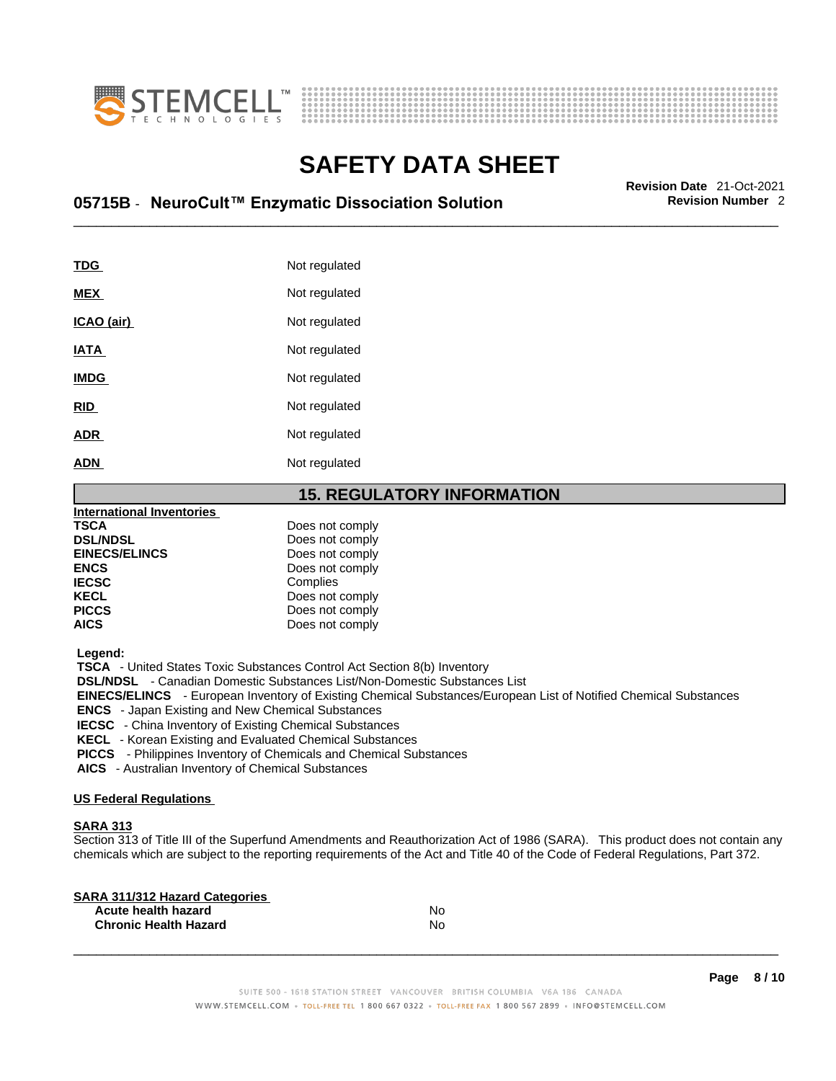



# \_\_\_\_\_\_\_\_\_\_\_\_\_\_\_\_\_\_\_\_\_\_\_\_\_\_\_\_\_\_\_\_\_\_\_\_\_\_\_\_\_\_\_\_\_\_\_\_\_\_\_\_\_\_\_\_\_\_\_\_\_\_\_\_\_\_\_\_\_\_\_\_\_\_\_\_\_\_\_\_\_\_\_\_\_\_\_\_\_\_\_\_\_ **Revision Date** 21-Oct-2021 **05715B** - **NeuroCult™ Enzymatic Dissociation Solution Revision Number** 2

| <b>TDG</b>  | Not regulated |
|-------------|---------------|
| <b>MEX</b>  | Not regulated |
| ICAO (air)  | Not regulated |
| <b>IATA</b> | Not regulated |
| <b>IMDG</b> | Not regulated |
| <b>RID</b>  | Not regulated |
| <b>ADR</b>  | Not regulated |
| <b>ADN</b>  | Not regulated |

#### **15. REGULATORY INFORMATION**

| International Inventories |                 |  |
|---------------------------|-----------------|--|
| <b>TSCA</b>               | Does not comply |  |
| <b>DSL/NDSL</b>           | Does not comply |  |
| <b>EINECS/ELINCS</b>      | Does not comply |  |
| <b>ENCS</b>               | Does not comply |  |
| <b>IECSC</b>              | Complies        |  |
| <b>KECL</b>               | Does not comply |  |
| <b>PICCS</b>              | Does not comply |  |
| <b>AICS</b>               | Does not comply |  |
|                           |                 |  |

 **Legend:** 

 **TSCA** - United States Toxic Substances Control Act Section 8(b) Inventory

 **DSL/NDSL** - Canadian Domestic Substances List/Non-Domestic Substances List

 **EINECS/ELINCS** - European Inventory of Existing Chemical Substances/European List of Notified Chemical Substances

 **ENCS** - Japan Existing and New Chemical Substances

 **IECSC** - China Inventory of Existing Chemical Substances

 **KECL** - Korean Existing and Evaluated Chemical Substances

 **PICCS** - Philippines Inventory of Chemicals and Chemical Substances

 **AICS** - Australian Inventory of Chemical Substances

#### **US Federal Regulations**

#### **SARA 313**

Section 313 of Title III of the Superfund Amendments and Reauthorization Act of 1986 (SARA). This product does not contain any chemicals which are subject to the reporting requirements of the Act and Title 40 of the Code of Federal Regulations, Part 372.

| No |  |
|----|--|
| No |  |
|    |  |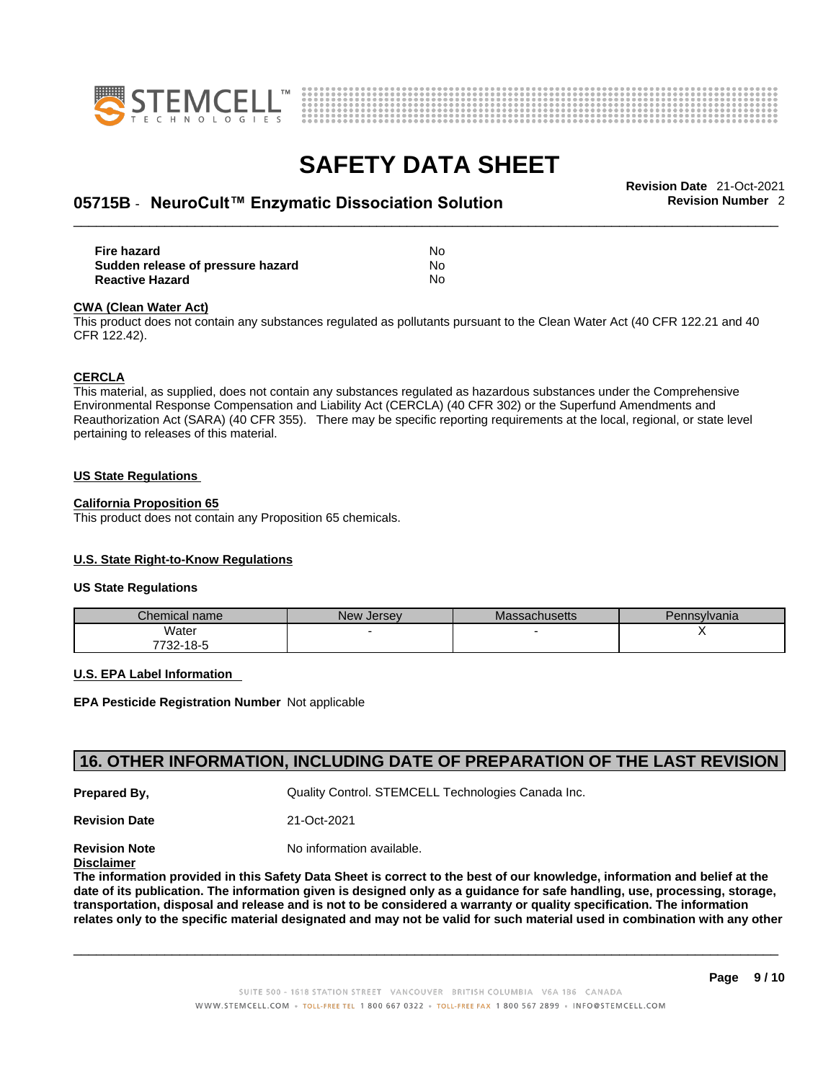



# \_\_\_\_\_\_\_\_\_\_\_\_\_\_\_\_\_\_\_\_\_\_\_\_\_\_\_\_\_\_\_\_\_\_\_\_\_\_\_\_\_\_\_\_\_\_\_\_\_\_\_\_\_\_\_\_\_\_\_\_\_\_\_\_\_\_\_\_\_\_\_\_\_\_\_\_\_\_\_\_\_\_\_\_\_\_\_\_\_\_\_\_\_ **Revision Date** 21-Oct-2021 **05715B** - **NeuroCult™ Enzymatic Dissociation Solution Revision Number** 2

| Fire hazard                       | N٥  |
|-----------------------------------|-----|
| Sudden release of pressure hazard | No. |
| <b>Reactive Hazard</b>            | No  |

#### **CWA** (Clean Water Act)

This product does not contain any substances regulated as pollutants pursuant to the Clean Water Act (40 CFR 122.21 and 40 CFR 122.42).

#### **CERCLA**

This material, as supplied, does not contain any substances regulated as hazardous substances under the Comprehensive Environmental Response Compensation and Liability Act (CERCLA) (40 CFR 302) or the Superfund Amendments and Reauthorization Act (SARA) (40 CFR 355). There may be specific reporting requirements at the local, regional, or state level pertaining to releases of this material.

#### **US State Regulations**

#### **California Proposition 65**

This product does not contain any Proposition 65 chemicals.

#### **U.S. State Right-to-Know Regulations**

#### **US State Regulations**

| Chemical name | New<br><b>Jersey</b> | <b>Massachusetts</b> | 'ennsylvania |
|---------------|----------------------|----------------------|--------------|
| Water         |                      |                      |              |
| 7732-18-5     |                      |                      |              |

#### **U.S. EPA Label Information**

**EPA Pesticide Registration Number** Not applicable

#### **16. OTHER INFORMATION, INCLUDING DATE OF PREPARATION OF THE LAST REVISION**

**Prepared By, State Control. STEMCELL Technologies Canada Inc.** Cuality Control. STEMCELL Technologies Canada Inc.

**Revision Date** 21-Oct-2021

**Revision Note** Noinformation available.

**Disclaimer**

The information provided in this Safety Data Sheet is correct to the best of our knowledge, information and belief at the date of its publication. The information given is designed only as a guidance for safe handling, use, processing, storage, transportation, disposal and release and is not to be considered a warranty or quality specification. The information relates only to the specific material designated and may not be valid for such material used in combination with any other